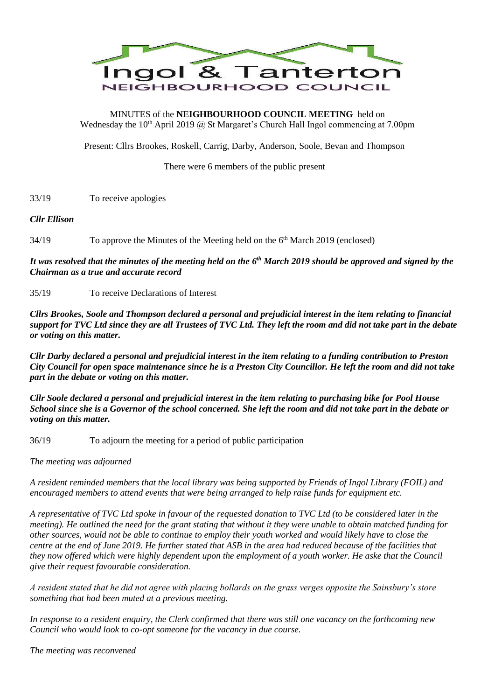

MINUTES of the **NEIGHBOURHOOD COUNCIL MEETING** held on Wednesday the  $10<sup>th</sup>$  April 2019 @ St Margaret's Church Hall Ingol commencing at 7.00pm

Present: Cllrs Brookes, Roskell, Carrig, Darby, Anderson, Soole, Bevan and Thompson

There were 6 members of the public present

33/19 To receive apologies

# *Cllr Ellison*

34/19 To approve the Minutes of the Meeting held on the 6<sup>th</sup> March 2019 (enclosed)

*It was resolved that the minutes of the meeting held on the 6 th March 2019 should be approved and signed by the Chairman as a true and accurate record*

35/19 To receive Declarations of Interest

*Cllrs Brookes, Soole and Thompson declared a personal and prejudicial interest in the item relating to financial support for TVC Ltd since they are all Trustees of TVC Ltd. They left the room and did not take part in the debate or voting on this matter.*

*Cllr Darby declared a personal and prejudicial interest in the item relating to a funding contribution to Preston City Council for open space maintenance since he is a Preston City Councillor. He left the room and did not take part in the debate or voting on this matter.*

*Cllr Soole declared a personal and prejudicial interest in the item relating to purchasing bike for Pool House School since she is a Governor of the school concerned. She left the room and did not take part in the debate or voting on this matter.*

36/19 To adjourn the meeting for a period of public participation

*The meeting was adjourned*

*A resident reminded members that the local library was being supported by Friends of Ingol Library (FOIL) and encouraged members to attend events that were being arranged to help raise funds for equipment etc.*

*A representative of TVC Ltd spoke in favour of the requested donation to TVC Ltd (to be considered later in the meeting). He outlined the need for the grant stating that without it they were unable to obtain matched funding for other sources, would not be able to continue to employ their youth worked and would likely have to close the centre at the end of June 2019. He further stated that ASB in the area had reduced because of the facilities that they now offered which were highly dependent upon the employment of a youth worker. He aske that the Council give their request favourable consideration.*

*A resident stated that he did not agree with placing bollards on the grass verges opposite the Sainsbury's store something that had been muted at a previous meeting.*

*In response to a resident enquiry, the Clerk confirmed that there was still one vacancy on the forthcoming new Council who would look to co-opt someone for the vacancy in due course.*

*The meeting was reconvened*